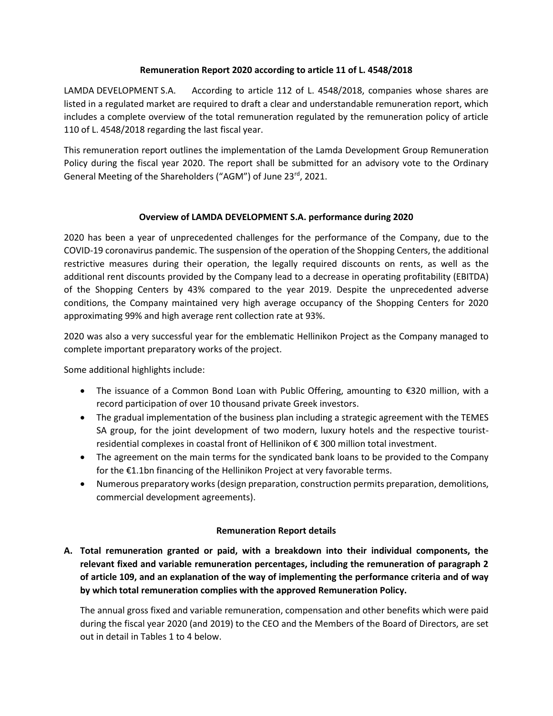## **Remuneration Report 2020 according to article 11 of L. 4548/2018**

LAMDA DEVELOPMENT S.A. According to article 112 of L. 4548/2018, companies whose shares are listed in a regulated market are required to draft a clear and understandable remuneration report, which includes a complete overview of the total remuneration regulated by the remuneration policy of article 110 of L. 4548/2018 regarding the last fiscal year.

This remuneration report outlines the implementation of the Lamda Development Group Remuneration Policy during the fiscal year 2020. The report shall be submitted for an advisory vote to the Ordinary General Meeting of the Shareholders ("AGM") of June 23<sup>rd</sup>, 2021.

## **Overview of LAMDA DEVELOPMENT S.A. performance during 2020**

2020 has been a year of unprecedented challenges for the performance of the Company, due to the COVID-19 coronavirus pandemic. The suspension of the operation of the Shopping Centers, the additional restrictive measures during their operation, the legally required discounts on rents, as well as the additional rent discounts provided by the Company lead to a decrease in operating profitability (EBITDA) of the Shopping Centers by 43% compared to the year 2019. Despite the unprecedented adverse conditions, the Company maintained very high average occupancy of the Shopping Centers for 2020 approximating 99% and high average rent collection rate at 93%.

2020 was also a very successful year for the emblematic Hellinikon Project as the Company managed to complete important preparatory works of the project.

Some additional highlights include:

- The issuance of a Common Bond Loan with Public Offering, amounting to €320 million, with a record participation of over 10 thousand private Greek investors.
- The gradual implementation of the business plan including a strategic agreement with the TEMES SA group, for the joint development of two modern, luxury hotels and the respective touristresidential complexes in coastal front of Hellinikon of € 300 million total investment.
- The agreement on the main terms for the syndicated bank loans to be provided to the Company for the €1.1bn financing of the Hellinikon Project at very favorable terms.
- Numerous preparatory works (design preparation, construction permits preparation, demolitions, commercial development agreements).

## **Remuneration Report details**

**A. Total remuneration granted or paid, with a breakdown into their individual components, the relevant fixed and variable remuneration percentages, including the remuneration of paragraph 2 of article 109, and an explanation of the way of implementing the performance criteria and of way by which total remuneration complies with the approved Remuneration Policy.**

The annual gross fixed and variable remuneration, compensation and other benefits which were paid during the fiscal year 2020 (and 2019) to the CEO and the Members of the Board of Directors, are set out in detail in Tables 1 to 4 below.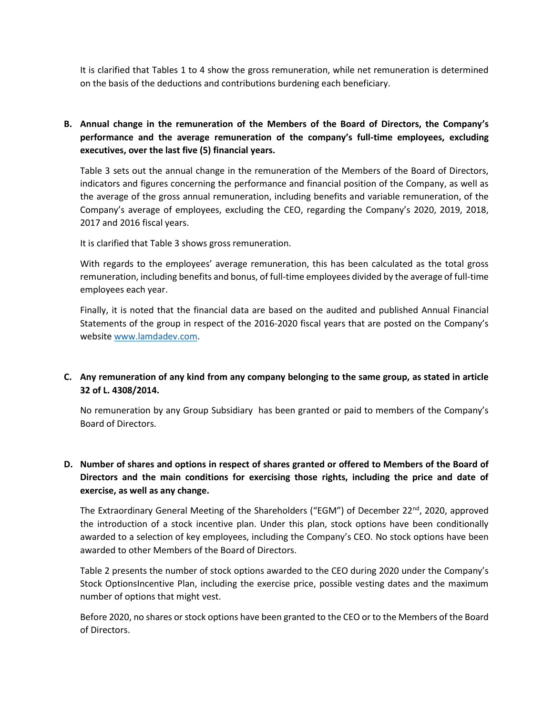It is clarified that Tables 1 to 4 show the gross remuneration, while net remuneration is determined on the basis of the deductions and contributions burdening each beneficiary.

**B. Annual change in the remuneration of the Members of the Board of Directors, the Company's performance and the average remuneration of the company's full-time employees, excluding executives, over the last five (5) financial years.**

Table 3 sets out the annual change in the remuneration of the Members of the Board of Directors, indicators and figures concerning the performance and financial position of the Company, as well as the average of the gross annual remuneration, including benefits and variable remuneration, of the Company's average of employees, excluding the CEO, regarding the Company's 2020, 2019, 2018, 2017 and 2016 fiscal years.

It is clarified that Table 3 shows gross remuneration.

With regards to the employees' average remuneration, this has been calculated as the total gross remuneration, including benefits and bonus, of full-time employees divided by the average of full-time employees each year.

Finally, it is noted that the financial data are based on the audited and published Annual Financial Statements of the group in respect of the 2016-2020 fiscal years that are posted on the Company's website [www.lamdadev.com.](http://www.lamdadev.com/)

## **C. Any remuneration of any kind from any company belonging to the same group, as stated in article 32 of L. 4308/2014.**

No remuneration by any Group Subsidiary has been granted or paid to members of the Company's Board of Directors.

# **D. Number of shares and options in respect of shares granted or offered to Members of the Board of Directors and the main conditions for exercising those rights, including the price and date of exercise, as well as any change.**

The Extraordinary General Meeting of the Shareholders ("EGM") of December 22<sup>nd</sup>, 2020, approved the introduction of a stock incentive plan. Under this plan, stock options have been conditionally awarded to a selection of key employees, including the Company's CEO. No stock options have been awarded to other Members of the Board of Directors.

Table 2 presents the number of stock options awarded to the CEO during 2020 under the Company's Stock OptionsIncentive Plan, including the exercise price, possible vesting dates and the maximum number of options that might vest.

Before 2020, no shares or stock options have been granted to the CEO or to the Members of the Board of Directors.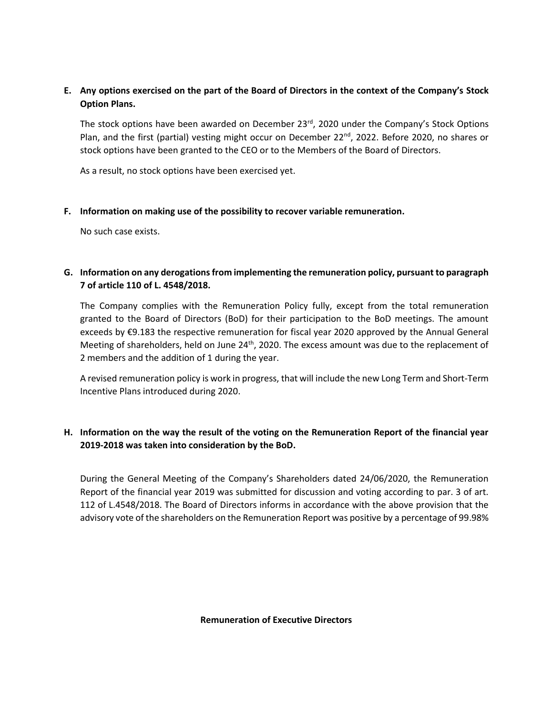# **E. Any options exercised on the part of the Board of Directors in the context of the Company's Stock Option Plans.**

The stock options have been awarded on December 23<sup>rd</sup>, 2020 under the Company's Stock Options Plan, and the first (partial) vesting might occur on December 22<sup>nd</sup>, 2022. Before 2020, no shares or stock options have been granted to the CEO or to the Members of the Board of Directors.

As a result, no stock options have been exercised yet.

## **F. Information on making use of the possibility to recover variable remuneration.**

No such case exists.

# **G. Information on any derogations from implementing the remuneration policy, pursuant to paragraph 7 of article 110 of L. 4548/2018.**

The Company complies with the Remuneration Policy fully, except from the total remuneration granted to the Board of Directors (BoD) for their participation to the BoD meetings. The amount exceeds by €9.183 the respective remuneration for fiscal year 2020 approved by the Annual General Meeting of shareholders, held on June  $24<sup>th</sup>$ , 2020. The excess amount was due to the replacement of 2 members and the addition of 1 during the year.

A revised remuneration policy is work in progress, that will include the new Long Term and Short-Term Incentive Plans introduced during 2020.

## **H. Information on the way the result of the voting on the Remuneration Report of the financial year 2019-2018 was taken into consideration by the BoD.**

During the General Meeting of the Company's Shareholders dated 24/06/2020, the Remuneration Report of the financial year 2019 was submitted for discussion and voting according to par. 3 of art. 112 of L.4548/2018. The Board of Directors informs in accordance with the above provision that the advisory vote of the shareholders on the Remuneration Report was positive by a percentage of 99.98%

**Remuneration of Executive Directors**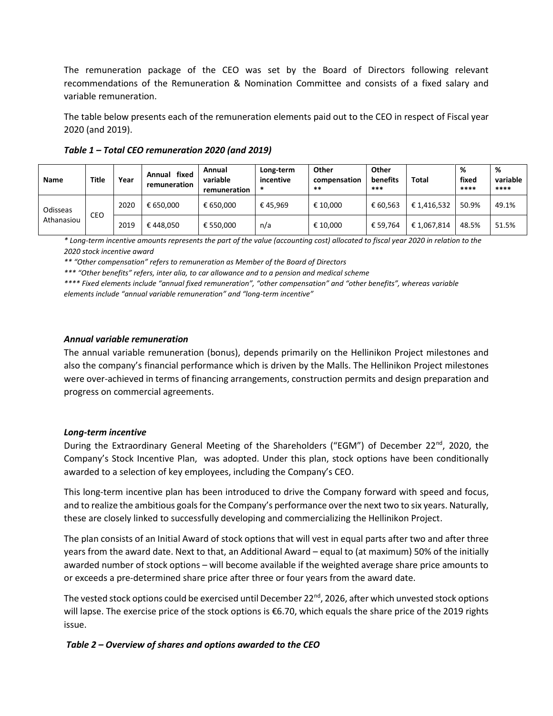The remuneration package of the CEO was set by the Board of Directors following relevant recommendations of the Remuneration & Nomination Committee and consists of a fixed salary and variable remuneration.

The table below presents each of the remuneration elements paid out to the CEO in respect of Fiscal year 2020 (and 2019).

| <b>Name</b>            | Title | Year | fixed<br>Annual<br>remuneration | Annual<br>variable<br>remuneration | Long-term<br>incentive<br>∗ | Other<br>compensation<br>** | Other<br>benefits<br>*** | Total       | %<br>fixed<br>**** | %<br>variable<br>**** |
|------------------------|-------|------|---------------------------------|------------------------------------|-----------------------------|-----------------------------|--------------------------|-------------|--------------------|-----------------------|
| Odisseas<br>Athanasiou | CEO   | 2020 | € 650.000                       | € 650.000                          | €45.969                     | € 10.000                    | € 60.563                 | € 1,416,532 | 50.9%              | 49.1%                 |
|                        |       | 2019 | €448.050                        | € 550.000                          | n/a                         | € 10.000                    | € 59.764                 | €1,067,814  | 48.5%              | 51.5%                 |

*Table 1 – Total CEO remuneration 2020 (and 2019)*

*\* Long-term incentive amounts represents the part of the value (accounting cost) allocated to fiscal year 2020 in relation to the 2020 stock incentive award*

*\*\* "Other compensation" refers to remuneration as Member of the Board of Directors*

*\*\*\* "Other benefits" refers, inter alia, to car allowance and to a pension and medical scheme*

*\*\*\*\* Fixed elements include "annual fixed remuneration", "other compensation" and "other benefits", whereas variable elements include "annual variable remuneration" and "long-term incentive"*

#### *Annual variable remuneration*

The annual variable remuneration (bonus), depends primarily on the Hellinikon Project milestones and also the company's financial performance which is driven by the Malls. The Hellinikon Project milestones were over-achieved in terms of financing arrangements, construction permits and design preparation and progress on commercial agreements.

## *Long-term incentive*

During the Extraordinary General Meeting of the Shareholders ("EGM") of December 22<sup>nd</sup>, 2020, the Company's Stock Incentive Plan, was adopted. Under this plan, stock options have been conditionally awarded to a selection of key employees, including the Company's CEO.

This long-term incentive plan has been introduced to drive the Company forward with speed and focus, and to realize the ambitious goals for the Company's performance over the next two to six years. Naturally, these are closely linked to successfully developing and commercializing the Hellinikon Project.

The plan consists of an Initial Award of stock options that will vest in equal parts after two and after three years from the award date. Next to that, an Additional Award – equal to (at maximum) 50% of the initially awarded number of stock options – will become available if the weighted average share price amounts to or exceeds a pre-determined share price after three or four years from the award date.

The vested stock options could be exercised until December 22<sup>nd</sup>, 2026, after which unvested stock options will lapse. The exercise price of the stock options is €6.70, which equals the share price of the 2019 rights issue.

*Table 2 – Overview of shares and options awarded to the CEO*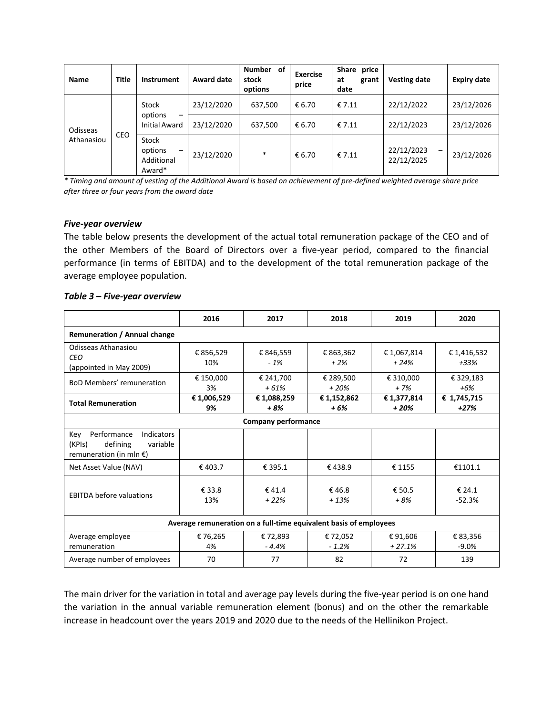| <b>Name</b>            | <b>Title</b> | Instrument                                    | Award date | <b>Number</b><br>of<br>stock<br>options | <b>Exercise</b><br>price | Share price<br>at<br>grant<br>date | <b>Vesting date</b>                                  | <b>Expiry date</b> |
|------------------------|--------------|-----------------------------------------------|------------|-----------------------------------------|--------------------------|------------------------------------|------------------------------------------------------|--------------------|
| Odisseas<br>Athanasiou | <b>CEO</b>   | Stock<br>options<br>—<br><b>Initial Award</b> | 23/12/2020 | 637,500                                 | € 6.70                   | € 7.11                             | 22/12/2022                                           | 23/12/2026         |
|                        |              |                                               | 23/12/2020 | 637,500                                 | € 6.70                   | € 7.11                             | 22/12/2023                                           | 23/12/2026         |
|                        |              | Stock<br>options<br>-<br>Additional<br>Award* | 23/12/2020 | $\ast$                                  | € 6.70                   | £7.11                              | 22/12/2023<br>$\overline{\phantom{0}}$<br>22/12/2025 | 23/12/2026         |

*\* Timing and amount of vesting of the Additional Award is based on achievement of pre-defined weighted average share price after three or four years from the award date* 

#### *Five-year overview*

The table below presents the development of the actual total remuneration package of the CEO and of the other Members of the Board of Directors over a five-year period, compared to the financial performance (in terms of EBITDA) and to the development of the total remuneration package of the average employee population.

|                                                                                                                | 2016             | 2017                | 2018                | 2019                 | 2020                  |  |  |  |  |
|----------------------------------------------------------------------------------------------------------------|------------------|---------------------|---------------------|----------------------|-----------------------|--|--|--|--|
| Remuneration / Annual change                                                                                   |                  |                     |                     |                      |                       |  |  |  |  |
| Odisseas Athanasiou<br><b>CEO</b><br>(appointed in May 2009)                                                   | € 856,529<br>10% | € 846,559<br>$-1%$  | € 863,362<br>$+2\%$ | €1,067,814<br>$+24%$ | € 1,416,532<br>$+33%$ |  |  |  |  |
| <b>BoD Members' remuneration</b>                                                                               | € 150,000<br>3%  | € 241,700<br>$+61%$ | € 289,500<br>$+20%$ | € 310,000<br>$+7%$   | € 329,183<br>$+6%$    |  |  |  |  |
| <b>Total Remuneration</b>                                                                                      | €1,006,529<br>9% | € 1,088,259<br>+ 8% | € 1,152,862<br>+6%  | € 1,377,814<br>+ 20% | € 1,745,715<br>$+27%$ |  |  |  |  |
| <b>Company performance</b>                                                                                     |                  |                     |                     |                      |                       |  |  |  |  |
| Performance<br><b>Indicators</b><br>Key<br>(KPIs)<br>defining<br>variable<br>remuneration (in mln $\epsilon$ ) |                  |                     |                     |                      |                       |  |  |  |  |
| Net Asset Value (NAV)                                                                                          | €403.7           | € 395.1             | €438.9              | € 1155               | €1101.1               |  |  |  |  |
| <b>EBITDA before valuations</b>                                                                                | € 33.8<br>13%    | £41.4<br>$+22%$     | €46.8<br>$+13%$     | € 50.5<br>$+8%$      | € 24.1<br>$-52.3%$    |  |  |  |  |
| Average remuneration on a full-time equivalent basis of employees                                              |                  |                     |                     |                      |                       |  |  |  |  |
| Average employee<br>remuneration                                                                               | € 76,265<br>4%   | €72,893<br>$-4.4%$  | € 72,052<br>$-1.2%$ | €91,606<br>$+27.1%$  | € 83,356<br>$-9.0%$   |  |  |  |  |
| Average number of employees                                                                                    | 70               | 77                  | 82                  | 72                   | 139                   |  |  |  |  |

#### *Table 3 – Five-year overview*

The main driver for the variation in total and average pay levels during the five-year period is on one hand the variation in the annual variable remuneration element (bonus) and on the other the remarkable increase in headcount over the years 2019 and 2020 due to the needs of the Hellinikon Project.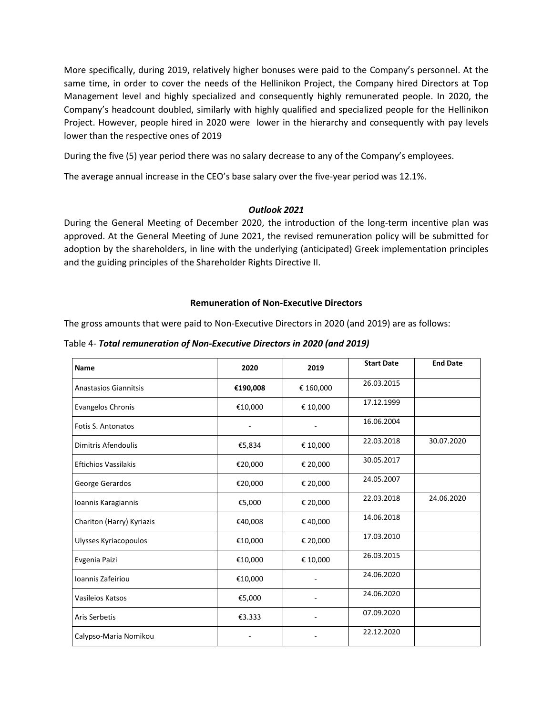More specifically, during 2019, relatively higher bonuses were paid to the Company's personnel. At the same time, in order to cover the needs of the Hellinikon Project, the Company hired Directors at Top Management level and highly specialized and consequently highly remunerated people. In 2020, the Company's headcount doubled, similarly with highly qualified and specialized people for the Hellinikon Project. However, people hired in 2020 were lower in the hierarchy and consequently with pay levels lower than the respective ones of 2019

During the five (5) year period there was no salary decrease to any of the Company's employees.

The average annual increase in the CEO's base salary over the five-year period was 12.1%.

## *Outlook 2021*

During the General Meeting of December 2020, the introduction of the long-term incentive plan was approved. At the General Meeting of June 2021, the revised remuneration policy will be submitted for adoption by the shareholders, in line with the underlying (anticipated) Greek implementation principles and the guiding principles of the Shareholder Rights Directive II.

#### **Remuneration of Non-Executive Directors**

The gross amounts that were paid to Non-Executive Directors in 2020 (and 2019) are as follows:

Table 4- *Total remuneration of Non-Executive Directors in 2020 (and 2019)*

| <b>Name</b>                  | 2020     | 2019      | <b>Start Date</b> | <b>End Date</b> |
|------------------------------|----------|-----------|-------------------|-----------------|
| <b>Anastasios Giannitsis</b> | €190,008 | € 160,000 | 26.03.2015        |                 |
| Evangelos Chronis            | €10,000  | € 10,000  | 17.12.1999        |                 |
| <b>Fotis S. Antonatos</b>    |          |           | 16.06.2004        |                 |
| Dimitris Afendoulis          | €5,834   | € 10,000  | 22.03.2018        | 30.07.2020      |
| <b>Eftichios Vassilakis</b>  | €20,000  | € 20,000  | 30.05.2017        |                 |
| George Gerardos              | €20,000  | € 20,000  | 24.05.2007        |                 |
| Ioannis Karagiannis          | €5,000   | € 20,000  | 22.03.2018        | 24.06.2020      |
| Chariton (Harry) Kyriazis    | €40,008  | € 40,000  | 14.06.2018        |                 |
| Ulysses Kyriacopoulos        | €10,000  | € 20,000  | 17.03.2010        |                 |
| Evgenia Paizi                | €10,000  | € 10,000  | 26.03.2015        |                 |
| Ioannis Zafeiriou            | €10,000  |           | 24.06.2020        |                 |
| Vasileios Katsos             | €5,000   |           | 24.06.2020        |                 |
| Aris Serbetis                | €3.333   |           | 07.09.2020        |                 |
| Calypso-Maria Nomikou        |          |           | 22.12.2020        |                 |